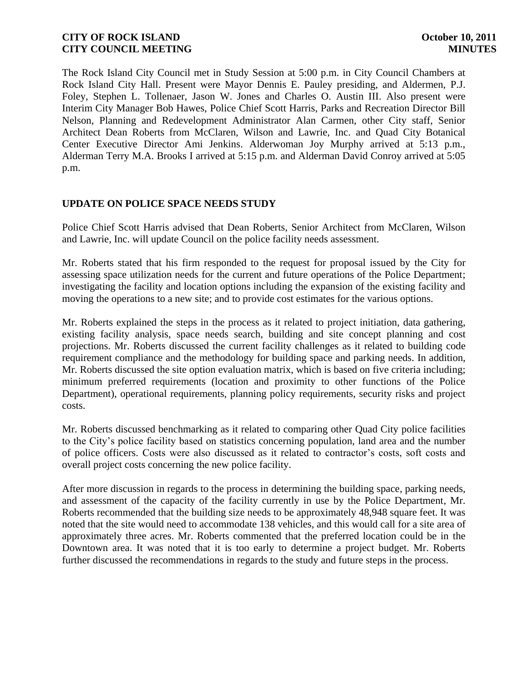The Rock Island City Council met in Study Session at 5:00 p.m. in City Council Chambers at Rock Island City Hall. Present were Mayor Dennis E. Pauley presiding, and Aldermen, P.J. Foley, Stephen L. Tollenaer, Jason W. Jones and Charles O. Austin III. Also present were Interim City Manager Bob Hawes, Police Chief Scott Harris, Parks and Recreation Director Bill Nelson, Planning and Redevelopment Administrator Alan Carmen, other City staff, Senior Architect Dean Roberts from McClaren, Wilson and Lawrie, Inc. and Quad City Botanical Center Executive Director Ami Jenkins. Alderwoman Joy Murphy arrived at 5:13 p.m., Alderman Terry M.A. Brooks I arrived at 5:15 p.m. and Alderman David Conroy arrived at 5:05 p.m.

### **UPDATE ON POLICE SPACE NEEDS STUDY**

Police Chief Scott Harris advised that Dean Roberts, Senior Architect from McClaren, Wilson and Lawrie, Inc. will update Council on the police facility needs assessment.

Mr. Roberts stated that his firm responded to the request for proposal issued by the City for assessing space utilization needs for the current and future operations of the Police Department; investigating the facility and location options including the expansion of the existing facility and moving the operations to a new site; and to provide cost estimates for the various options.

Mr. Roberts explained the steps in the process as it related to project initiation, data gathering, existing facility analysis, space needs search, building and site concept planning and cost projections. Mr. Roberts discussed the current facility challenges as it related to building code requirement compliance and the methodology for building space and parking needs. In addition, Mr. Roberts discussed the site option evaluation matrix, which is based on five criteria including; minimum preferred requirements (location and proximity to other functions of the Police Department), operational requirements, planning policy requirements, security risks and project costs.

Mr. Roberts discussed benchmarking as it related to comparing other Quad City police facilities to the City's police facility based on statistics concerning population, land area and the number of police officers. Costs were also discussed as it related to contractor's costs, soft costs and overall project costs concerning the new police facility.

After more discussion in regards to the process in determining the building space, parking needs, and assessment of the capacity of the facility currently in use by the Police Department, Mr. Roberts recommended that the building size needs to be approximately 48,948 square feet. It was noted that the site would need to accommodate 138 vehicles, and this would call for a site area of approximately three acres. Mr. Roberts commented that the preferred location could be in the Downtown area. It was noted that it is too early to determine a project budget. Mr. Roberts further discussed the recommendations in regards to the study and future steps in the process.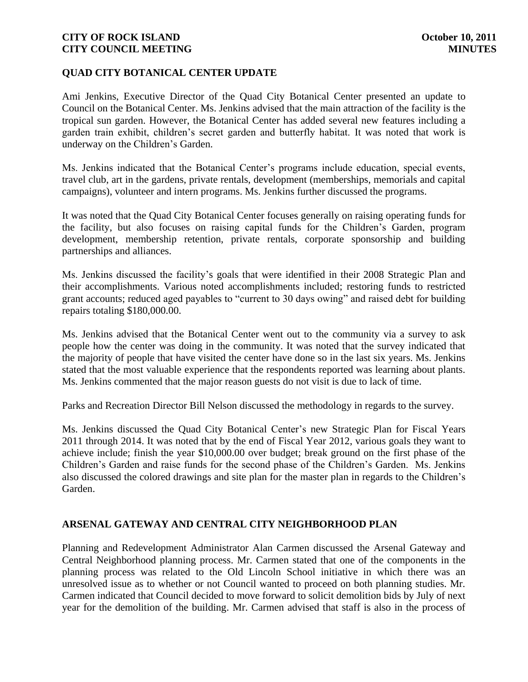### **QUAD CITY BOTANICAL CENTER UPDATE**

Ami Jenkins, Executive Director of the Quad City Botanical Center presented an update to Council on the Botanical Center. Ms. Jenkins advised that the main attraction of the facility is the tropical sun garden. However, the Botanical Center has added several new features including a garden train exhibit, children's secret garden and butterfly habitat. It was noted that work is underway on the Children's Garden.

Ms. Jenkins indicated that the Botanical Center's programs include education, special events, travel club, art in the gardens, private rentals, development (memberships, memorials and capital campaigns), volunteer and intern programs. Ms. Jenkins further discussed the programs.

It was noted that the Quad City Botanical Center focuses generally on raising operating funds for the facility, but also focuses on raising capital funds for the Children's Garden, program development, membership retention, private rentals, corporate sponsorship and building partnerships and alliances.

Ms. Jenkins discussed the facility's goals that were identified in their 2008 Strategic Plan and their accomplishments. Various noted accomplishments included; restoring funds to restricted grant accounts; reduced aged payables to "current to 30 days owing" and raised debt for building repairs totaling \$180,000.00.

Ms. Jenkins advised that the Botanical Center went out to the community via a survey to ask people how the center was doing in the community. It was noted that the survey indicated that the majority of people that have visited the center have done so in the last six years. Ms. Jenkins stated that the most valuable experience that the respondents reported was learning about plants. Ms. Jenkins commented that the major reason guests do not visit is due to lack of time.

Parks and Recreation Director Bill Nelson discussed the methodology in regards to the survey.

Ms. Jenkins discussed the Quad City Botanical Center's new Strategic Plan for Fiscal Years 2011 through 2014. It was noted that by the end of Fiscal Year 2012, various goals they want to achieve include; finish the year \$10,000.00 over budget; break ground on the first phase of the Children's Garden and raise funds for the second phase of the Children's Garden. Ms. Jenkins also discussed the colored drawings and site plan for the master plan in regards to the Children's Garden.

#### **ARSENAL GATEWAY AND CENTRAL CITY NEIGHBORHOOD PLAN**

Planning and Redevelopment Administrator Alan Carmen discussed the Arsenal Gateway and Central Neighborhood planning process. Mr. Carmen stated that one of the components in the planning process was related to the Old Lincoln School initiative in which there was an unresolved issue as to whether or not Council wanted to proceed on both planning studies. Mr. Carmen indicated that Council decided to move forward to solicit demolition bids by July of next year for the demolition of the building. Mr. Carmen advised that staff is also in the process of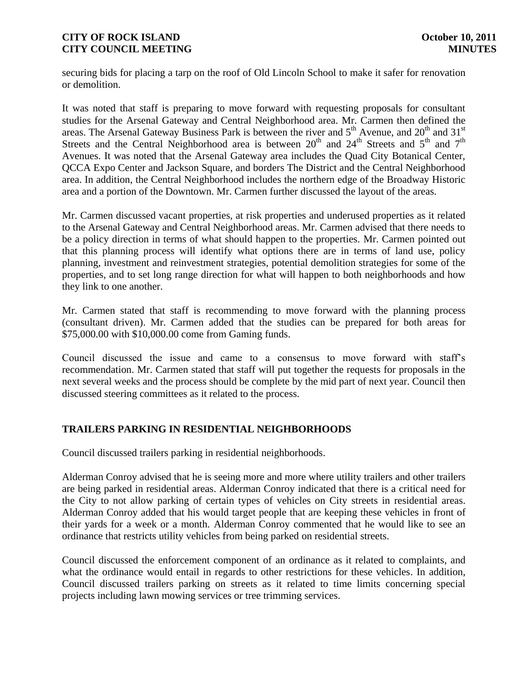securing bids for placing a tarp on the roof of Old Lincoln School to make it safer for renovation or demolition.

It was noted that staff is preparing to move forward with requesting proposals for consultant studies for the Arsenal Gateway and Central Neighborhood area. Mr. Carmen then defined the areas. The Arsenal Gateway Business Park is between the river and  $5<sup>th</sup>$  Avenue, and  $20<sup>th</sup>$  and  $31<sup>st</sup>$ Streets and the Central Neighborhood area is between  $20^{th}$  and  $24^{th}$  Streets and  $5^{th}$  and  $7^{th}$ Avenues. It was noted that the Arsenal Gateway area includes the Quad City Botanical Center, QCCA Expo Center and Jackson Square, and borders The District and the Central Neighborhood area. In addition, the Central Neighborhood includes the northern edge of the Broadway Historic area and a portion of the Downtown. Mr. Carmen further discussed the layout of the areas.

Mr. Carmen discussed vacant properties, at risk properties and underused properties as it related to the Arsenal Gateway and Central Neighborhood areas. Mr. Carmen advised that there needs to be a policy direction in terms of what should happen to the properties. Mr. Carmen pointed out that this planning process will identify what options there are in terms of land use, policy planning, investment and reinvestment strategies, potential demolition strategies for some of the properties, and to set long range direction for what will happen to both neighborhoods and how they link to one another.

Mr. Carmen stated that staff is recommending to move forward with the planning process (consultant driven). Mr. Carmen added that the studies can be prepared for both areas for \$75,000.00 with \$10,000.00 come from Gaming funds.

Council discussed the issue and came to a consensus to move forward with staff's recommendation. Mr. Carmen stated that staff will put together the requests for proposals in the next several weeks and the process should be complete by the mid part of next year. Council then discussed steering committees as it related to the process.

#### **TRAILERS PARKING IN RESIDENTIAL NEIGHBORHOODS**

Council discussed trailers parking in residential neighborhoods.

Alderman Conroy advised that he is seeing more and more where utility trailers and other trailers are being parked in residential areas. Alderman Conroy indicated that there is a critical need for the City to not allow parking of certain types of vehicles on City streets in residential areas. Alderman Conroy added that his would target people that are keeping these vehicles in front of their yards for a week or a month. Alderman Conroy commented that he would like to see an ordinance that restricts utility vehicles from being parked on residential streets.

Council discussed the enforcement component of an ordinance as it related to complaints, and what the ordinance would entail in regards to other restrictions for these vehicles. In addition, Council discussed trailers parking on streets as it related to time limits concerning special projects including lawn mowing services or tree trimming services.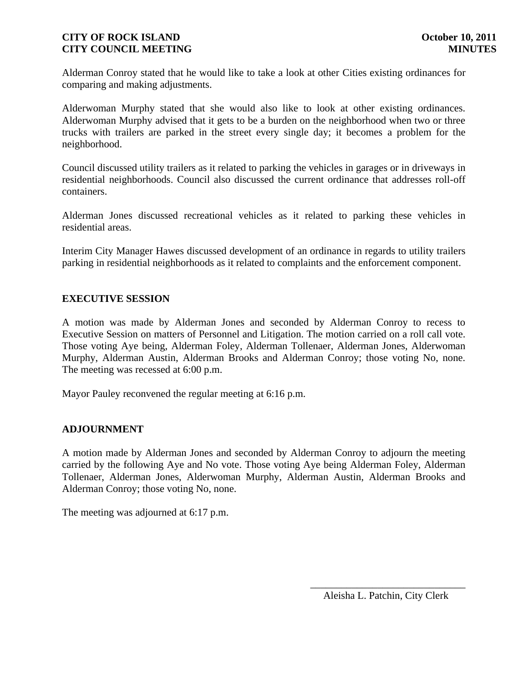Alderman Conroy stated that he would like to take a look at other Cities existing ordinances for comparing and making adjustments.

Alderwoman Murphy stated that she would also like to look at other existing ordinances. Alderwoman Murphy advised that it gets to be a burden on the neighborhood when two or three trucks with trailers are parked in the street every single day; it becomes a problem for the neighborhood.

Council discussed utility trailers as it related to parking the vehicles in garages or in driveways in residential neighborhoods. Council also discussed the current ordinance that addresses roll-off containers.

Alderman Jones discussed recreational vehicles as it related to parking these vehicles in residential areas.

Interim City Manager Hawes discussed development of an ordinance in regards to utility trailers parking in residential neighborhoods as it related to complaints and the enforcement component.

### **EXECUTIVE SESSION**

A motion was made by Alderman Jones and seconded by Alderman Conroy to recess to Executive Session on matters of Personnel and Litigation. The motion carried on a roll call vote. Those voting Aye being, Alderman Foley, Alderman Tollenaer, Alderman Jones, Alderwoman Murphy, Alderman Austin, Alderman Brooks and Alderman Conroy; those voting No, none. The meeting was recessed at 6:00 p.m.

Mayor Pauley reconvened the regular meeting at 6:16 p.m.

#### **ADJOURNMENT**

A motion made by Alderman Jones and seconded by Alderman Conroy to adjourn the meeting carried by the following Aye and No vote. Those voting Aye being Alderman Foley, Alderman Tollenaer, Alderman Jones, Alderwoman Murphy, Alderman Austin, Alderman Brooks and Alderman Conroy; those voting No, none.

The meeting was adjourned at 6:17 p.m.

\_\_\_\_\_\_\_\_\_\_\_\_\_\_\_\_\_\_\_\_\_\_\_\_\_\_\_\_\_\_ Aleisha L. Patchin, City Clerk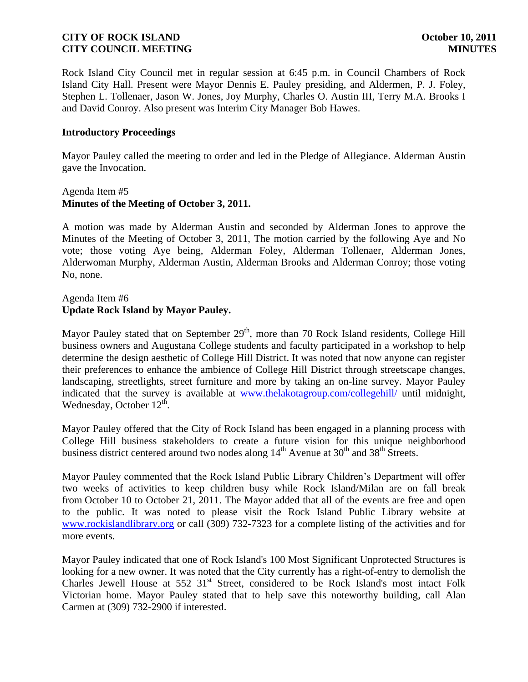Rock Island City Council met in regular session at 6:45 p.m. in Council Chambers of Rock Island City Hall. Present were Mayor Dennis E. Pauley presiding, and Aldermen, P. J. Foley, Stephen L. Tollenaer, Jason W. Jones, Joy Murphy, Charles O. Austin III, Terry M.A. Brooks I and David Conroy. Also present was Interim City Manager Bob Hawes.

#### **Introductory Proceedings**

Mayor Pauley called the meeting to order and led in the Pledge of Allegiance. Alderman Austin gave the Invocation.

### Agenda Item #5 **Minutes of the Meeting of October 3, 2011.**

A motion was made by Alderman Austin and seconded by Alderman Jones to approve the Minutes of the Meeting of October 3, 2011, The motion carried by the following Aye and No vote; those voting Aye being, Alderman Foley, Alderman Tollenaer, Alderman Jones, Alderwoman Murphy, Alderman Austin, Alderman Brooks and Alderman Conroy; those voting No, none.

### Agenda Item #6 **Update Rock Island by Mayor Pauley.**

Mayor Pauley stated that on September  $29<sup>th</sup>$ , more than 70 Rock Island residents, College Hill business owners and Augustana College students and faculty participated in a workshop to help determine the design aesthetic of College Hill District. It was noted that now anyone can register their preferences to enhance the ambience of College Hill District through streetscape changes, landscaping, streetlights, street furniture and more by taking an on-line survey. Mayor Pauley indicated that the survey is available at [www.thelakotagroup.com/collegehill/](http://www.thelakotagroup.com/collegehill/) until midnight, Wednesday, October 12<sup>th</sup>.

Mayor Pauley offered that the City of Rock Island has been engaged in a planning process with College Hill business stakeholders to create a future vision for this unique neighborhood business district centered around two nodes along  $14<sup>th</sup>$  Avenue at  $30<sup>th</sup>$  and  $38<sup>th</sup>$  Streets.

Mayor Pauley commented that the Rock Island Public Library Children's Department will offer two weeks of activities to keep children busy while Rock Island/Milan are on fall break from October 10 to October 21, 2011. The Mayor added that all of the events are free and open to the public. It was noted to please visit the Rock Island Public Library website at [www.rockislandlibrary.org](http://www.rockislandlibrary.org/) or call (309) 732-7323 for a complete listing of the activities and for more events.

Mayor Pauley indicated that one of Rock Island's [100 Most Significant Unprotected Structures](http://r20.rs6.net/tn.jsp?llr=kjh86ncab&et=1107991156354&s=151&e=0015adstKfo1Cn__TsAizQItJve_Q3SXZNzMqQQR-62Fa8c6JZ0vfOkh1mXDL1HyCxxO6mKqiHwtdmgvm2PFzcYbJQVYpxibtCd5gW2VOgvH-vQhWAVcsnZcqMrkaqb4wKT59VvYjO3T00=) is looking for a new owner. It was noted that the City currently has a right-of-entry to demolish the [Charles Jewell House](http://r20.rs6.net/tn.jsp?llr=kjh86ncab&et=1107991156354&s=151&e=0015adstKfo1Cl6PXMQyfxeWWgYLZG1oH7aOeRTDhAYJmwWts4m3cx1Bvn4jF7ER5li9LYbZdGKGyRXmoB9IAkXH4s2XD6s6ovdSD75QOfB_X2upXzCktHNjl60l412rdDx_Q54feZwj3c=) at 552 31<sup>st</sup> Street, considered to be Rock Island's most intact Folk Victorian home. Mayor Pauley stated that to help save this noteworthy building, call Alan Carmen at (309) 732-2900 if interested.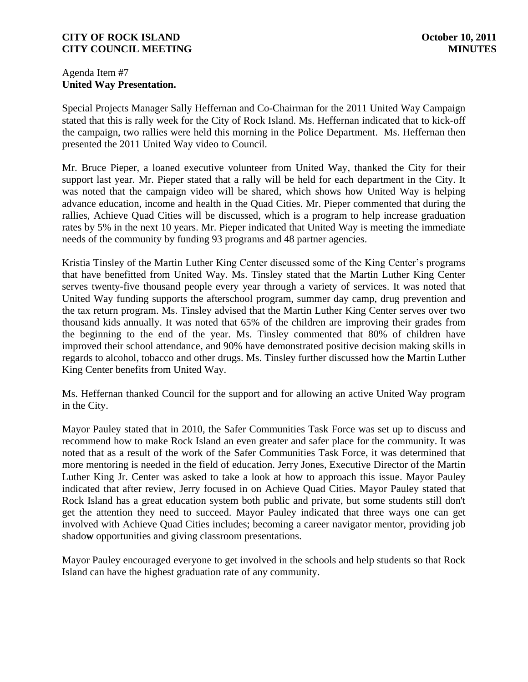### Agenda Item #7 **United Way Presentation.**

Special Projects Manager Sally Heffernan and Co-Chairman for the 2011 United Way Campaign stated that this is rally week for the City of Rock Island. Ms. Heffernan indicated that to kick-off the campaign, two rallies were held this morning in the Police Department. Ms. Heffernan then presented the 2011 United Way video to Council.

Mr. Bruce Pieper, a loaned executive volunteer from United Way, thanked the City for their support last year. Mr. Pieper stated that a rally will be held for each department in the City. It was noted that the campaign video will be shared, which shows how United Way is helping advance education, income and health in the Quad Cities. Mr. Pieper commented that during the rallies, Achieve Quad Cities will be discussed, which is a program to help increase graduation rates by 5% in the next 10 years. Mr. Pieper indicated that United Way is meeting the immediate needs of the community by funding 93 programs and 48 partner agencies.

Kristia Tinsley of the Martin Luther King Center discussed some of the King Center's programs that have benefitted from United Way. Ms. Tinsley stated that the Martin Luther King Center serves twenty-five thousand people every year through a variety of services. It was noted that United Way funding supports the afterschool program, summer day camp, drug prevention and the tax return program. Ms. Tinsley advised that the Martin Luther King Center serves over two thousand kids annually. It was noted that 65% of the children are improving their grades from the beginning to the end of the year. Ms. Tinsley commented that 80% of children have improved their school attendance, and 90% have demonstrated positive decision making skills in regards to alcohol, tobacco and other drugs. Ms. Tinsley further discussed how the Martin Luther King Center benefits from United Way.

Ms. Heffernan thanked Council for the support and for allowing an active United Way program in the City.

Mayor Pauley stated that in 2010, the Safer Communities Task Force was set up to discuss and recommend how to make Rock Island an even greater and safer place for the community. It was noted that as a result of the work of the Safer Communities Task Force, it was determined that more mentoring is needed in the field of education. Jerry Jones, Executive Director of the Martin Luther King Jr. Center was asked to take a look at how to approach this issue. Mayor Pauley indicated that after review, Jerry focused in on Achieve Quad Cities. Mayor Pauley stated that Rock Island has a great education system both public and private, but some students still don't get the attention they need to succeed. Mayor Pauley indicated that three ways one can get involved with Achieve Quad Cities includes; becoming a career navigator mentor, providing job shado**w** opportunities and giving classroom presentations.

Mayor Pauley encouraged everyone to get involved in the schools and help students so that Rock Island can have the highest graduation rate of any community.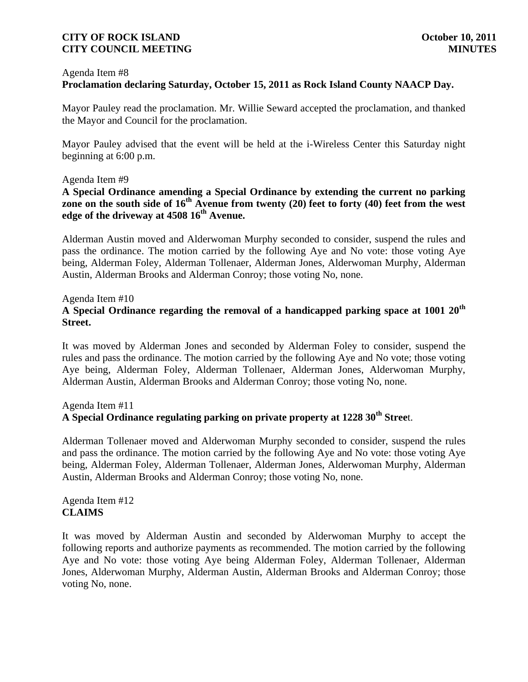#### Agenda Item #8

## **Proclamation declaring Saturday, October 15, 2011 as Rock Island County NAACP Day.**

Mayor Pauley read the proclamation. Mr. Willie Seward accepted the proclamation, and thanked the Mayor and Council for the proclamation.

Mayor Pauley advised that the event will be held at the i-Wireless Center this Saturday night beginning at 6:00 p.m.

#### Agenda Item #9

## **A Special Ordinance amending a Special Ordinance by extending the current no parking**  zone on the south side of 16<sup>th</sup> Avenue from twenty (20) feet to forty (40) feet from the west **edge of the driveway at 4508 16th Avenue.**

Alderman Austin moved and Alderwoman Murphy seconded to consider, suspend the rules and pass the ordinance. The motion carried by the following Aye and No vote: those voting Aye being, Alderman Foley, Alderman Tollenaer, Alderman Jones, Alderwoman Murphy, Alderman Austin, Alderman Brooks and Alderman Conroy; those voting No, none.

#### Agenda Item #10

## **A Special Ordinance regarding the removal of a handicapped parking space at 1001 20th Street.**

It was moved by Alderman Jones and seconded by Alderman Foley to consider, suspend the rules and pass the ordinance. The motion carried by the following Aye and No vote; those voting Aye being, Alderman Foley, Alderman Tollenaer, Alderman Jones, Alderwoman Murphy, Alderman Austin, Alderman Brooks and Alderman Conroy; those voting No, none.

## Agenda Item #11 **A Special Ordinance regulating parking on private property at 1228 30th Stree**t.

Alderman Tollenaer moved and Alderwoman Murphy seconded to consider, suspend the rules and pass the ordinance. The motion carried by the following Aye and No vote: those voting Aye being, Alderman Foley, Alderman Tollenaer, Alderman Jones, Alderwoman Murphy, Alderman Austin, Alderman Brooks and Alderman Conroy; those voting No, none.

Agenda Item #12 **CLAIMS**

It was moved by Alderman Austin and seconded by Alderwoman Murphy to accept the following reports and authorize payments as recommended. The motion carried by the following Aye and No vote: those voting Aye being Alderman Foley, Alderman Tollenaer, Alderman Jones, Alderwoman Murphy, Alderman Austin, Alderman Brooks and Alderman Conroy; those voting No, none.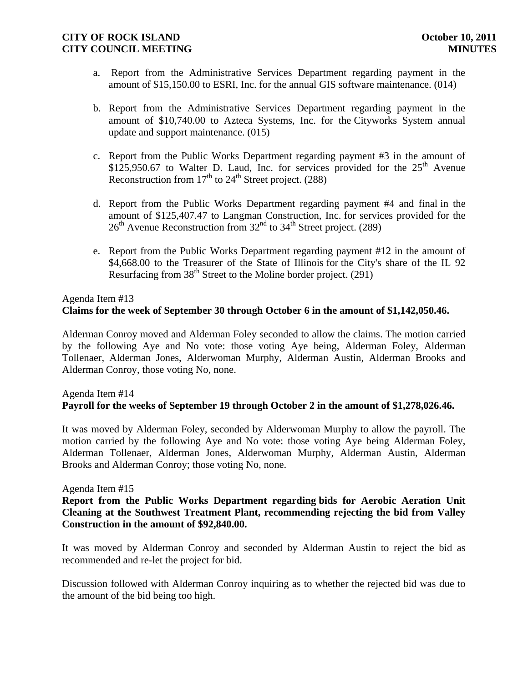- a. Report from the Administrative Services Department regarding payment in the amount of \$15,150.00 to ESRI, Inc. for the annual GIS software maintenance. (014)
- b. Report from the Administrative Services Department regarding payment in the amount of \$10,740.00 to Azteca Systems, Inc. for the Cityworks System annual update and support maintenance. (015)
- c. Report from the Public Works Department regarding payment #3 in the amount of \$125,950.67 to Walter D. Laud, Inc. for services provided for the  $25<sup>th</sup>$  Avenue Reconstruction from  $17<sup>th</sup>$  to  $24<sup>th</sup>$  Street project. (288)
- d. Report from the Public Works Department regarding payment #4 and final in the amount of \$125,407.47 to Langman Construction, Inc. for services provided for the  $26<sup>th</sup>$  Avenue Reconstruction from  $32<sup>nd</sup>$  to  $34<sup>th</sup>$  Street project. (289)
- e. Report from the Public Works Department regarding payment #12 in the amount of \$4,668.00 to the Treasurer of the State of Illinois for the City's share of the IL 92 Resurfacing from  $38<sup>th</sup>$  Street to the Moline border project. (291)

### Agenda Item #13 **Claims for the week of September 30 through October 6 in the amount of \$1,142,050.46.**

Alderman Conroy moved and Alderman Foley seconded to allow the claims. The motion carried by the following Aye and No vote: those voting Aye being, Alderman Foley, Alderman Tollenaer, Alderman Jones, Alderwoman Murphy, Alderman Austin, Alderman Brooks and Alderman Conroy, those voting No, none.

## Agenda Item #14 **Payroll for the weeks of September 19 through October 2 in the amount of \$1,278,026.46.**

It was moved by Alderman Foley, seconded by Alderwoman Murphy to allow the payroll. The motion carried by the following Aye and No vote: those voting Aye being Alderman Foley, Alderman Tollenaer, Alderman Jones, Alderwoman Murphy, Alderman Austin, Alderman Brooks and Alderman Conroy; those voting No, none.

#### Agenda Item #15

### **Report from the Public Works Department regarding bids for Aerobic Aeration Unit Cleaning at the Southwest Treatment Plant, recommending rejecting the bid from Valley Construction in the amount of \$92,840.00.**

It was moved by Alderman Conroy and seconded by Alderman Austin to reject the bid as recommended and re-let the project for bid.

Discussion followed with Alderman Conroy inquiring as to whether the rejected bid was due to the amount of the bid being too high.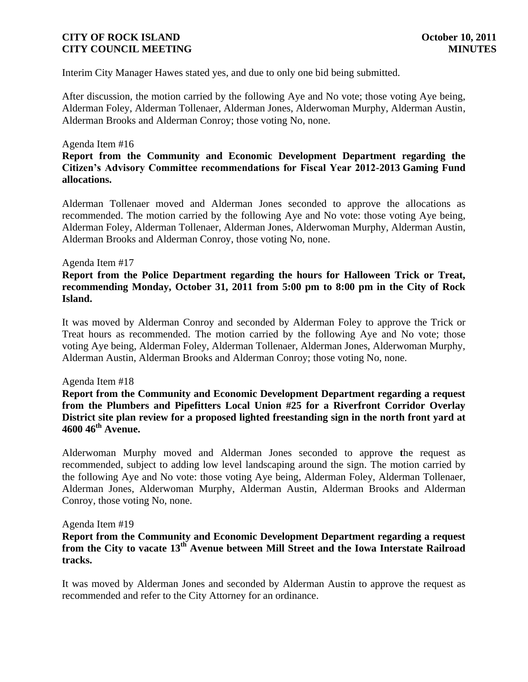Interim City Manager Hawes stated yes, and due to only one bid being submitted.

After discussion, the motion carried by the following Aye and No vote; those voting Aye being, Alderman Foley, Alderman Tollenaer, Alderman Jones, Alderwoman Murphy, Alderman Austin, Alderman Brooks and Alderman Conroy; those voting No, none.

#### Agenda Item #16

### **Report from the Community and Economic Development Department regarding the Citizen's Advisory Committee recommendations for Fiscal Year 2012-2013 Gaming Fund allocations.**

Alderman Tollenaer moved and Alderman Jones seconded to approve the allocations as recommended. The motion carried by the following Aye and No vote: those voting Aye being, Alderman Foley, Alderman Tollenaer, Alderman Jones, Alderwoman Murphy, Alderman Austin, Alderman Brooks and Alderman Conroy, those voting No, none.

#### Agenda Item #17

### **Report from the Police Department regarding the hours for Halloween Trick or Treat, recommending Monday, October 31, 2011 from 5:00 pm to 8:00 pm in the City of Rock Island.**

It was moved by Alderman Conroy and seconded by Alderman Foley to approve the Trick or Treat hours as recommended. The motion carried by the following Aye and No vote; those voting Aye being, Alderman Foley, Alderman Tollenaer, Alderman Jones, Alderwoman Murphy, Alderman Austin, Alderman Brooks and Alderman Conroy; those voting No, none.

#### Agenda Item #18

**Report from the Community and Economic Development Department regarding a request from the Plumbers and Pipefitters Local Union #25 for a Riverfront Corridor Overlay District site plan review for a proposed lighted freestanding sign in the north front yard at 4600 46th Avenue.** 

Alderwoman Murphy moved and Alderman Jones seconded to approve **t**he request as recommended, subject to adding low level landscaping around the sign. The motion carried by the following Aye and No vote: those voting Aye being, Alderman Foley, Alderman Tollenaer, Alderman Jones, Alderwoman Murphy, Alderman Austin, Alderman Brooks and Alderman Conroy, those voting No, none.

#### Agenda Item #19

#### **Report from the Community and Economic Development Department regarding a request from the City to vacate 13th Avenue between Mill Street and the Iowa Interstate Railroad tracks.**

It was moved by Alderman Jones and seconded by Alderman Austin to approve the request as recommended and refer to the City Attorney for an ordinance.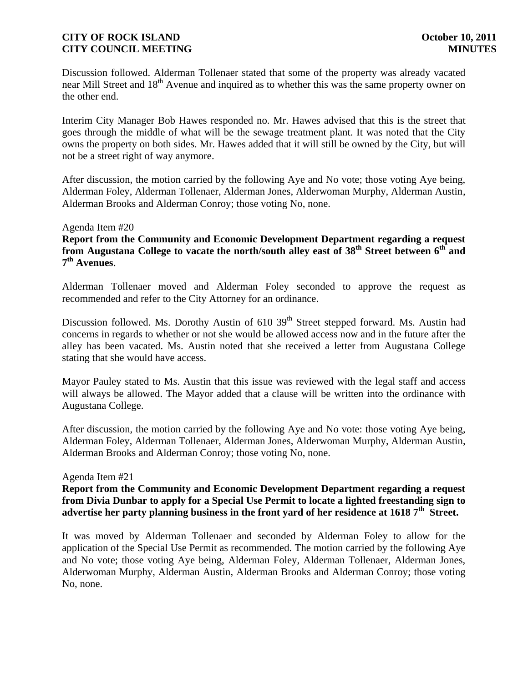Discussion followed. Alderman Tollenaer stated that some of the property was already vacated near Mill Street and 18<sup>th</sup> Avenue and inquired as to whether this was the same property owner on the other end.

Interim City Manager Bob Hawes responded no. Mr. Hawes advised that this is the street that goes through the middle of what will be the sewage treatment plant. It was noted that the City owns the property on both sides. Mr. Hawes added that it will still be owned by the City, but will not be a street right of way anymore.

After discussion, the motion carried by the following Aye and No vote; those voting Aye being, Alderman Foley, Alderman Tollenaer, Alderman Jones, Alderwoman Murphy, Alderman Austin, Alderman Brooks and Alderman Conroy; those voting No, none.

#### Agenda Item #20

**Report from the Community and Economic Development Department regarding a request from Augustana College to vacate the north/south alley east of 38th Street between 6th and 7 th Avenues**.

Alderman Tollenaer moved and Alderman Foley seconded to approve the request as recommended and refer to the City Attorney for an ordinance.

Discussion followed. Ms. Dorothy Austin of 610 39<sup>th</sup> Street stepped forward. Ms. Austin had concerns in regards to whether or not she would be allowed access now and in the future after the alley has been vacated. Ms. Austin noted that she received a letter from Augustana College stating that she would have access.

Mayor Pauley stated to Ms. Austin that this issue was reviewed with the legal staff and access will always be allowed. The Mayor added that a clause will be written into the ordinance with Augustana College.

After discussion, the motion carried by the following Aye and No vote: those voting Aye being, Alderman Foley, Alderman Tollenaer, Alderman Jones, Alderwoman Murphy, Alderman Austin, Alderman Brooks and Alderman Conroy; those voting No, none.

#### Agenda Item #21

**Report from the Community and Economic Development Department regarding a request from Divia Dunbar to apply for a Special Use Permit to locate a lighted freestanding sign to advertise her party planning business in the front yard of her residence at 1618 7th Street.**

It was moved by Alderman Tollenaer and seconded by Alderman Foley to allow for the application of the Special Use Permit as recommended. The motion carried by the following Aye and No vote; those voting Aye being, Alderman Foley, Alderman Tollenaer, Alderman Jones, Alderwoman Murphy, Alderman Austin, Alderman Brooks and Alderman Conroy; those voting No, none.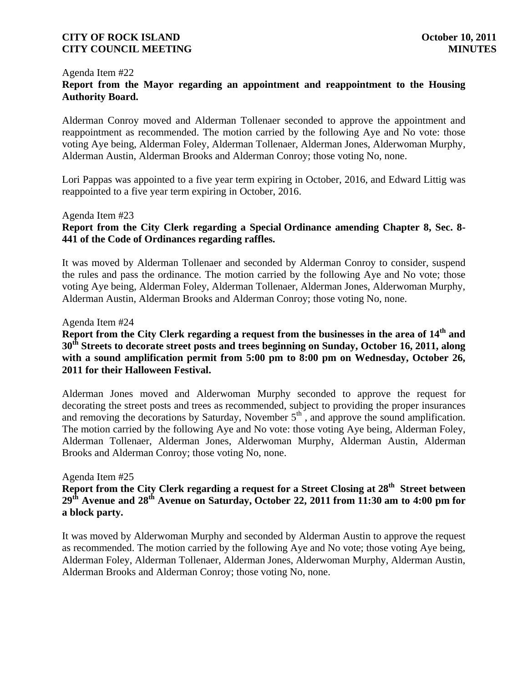#### Agenda Item #22

## **Report from the Mayor regarding an appointment and reappointment to the Housing Authority Board.**

Alderman Conroy moved and Alderman Tollenaer seconded to approve the appointment and reappointment as recommended. The motion carried by the following Aye and No vote: those voting Aye being, Alderman Foley, Alderman Tollenaer, Alderman Jones, Alderwoman Murphy, Alderman Austin, Alderman Brooks and Alderman Conroy; those voting No, none.

Lori Pappas was appointed to a five year term expiring in October, 2016, and Edward Littig was reappointed to a five year term expiring in October, 2016.

#### Agenda Item #23

## **Report from the City Clerk regarding a Special Ordinance amending Chapter 8, Sec. 8- 441 of the Code of Ordinances regarding raffles.**

It was moved by Alderman Tollenaer and seconded by Alderman Conroy to consider, suspend the rules and pass the ordinance. The motion carried by the following Aye and No vote; those voting Aye being, Alderman Foley, Alderman Tollenaer, Alderman Jones, Alderwoman Murphy, Alderman Austin, Alderman Brooks and Alderman Conroy; those voting No, none.

#### Agenda Item #24

## **Report from the City Clerk regarding a request from the businesses in the area of 14th and 30th Streets to decorate street posts and trees beginning on Sunday, October 16, 2011, along with a sound amplification permit from 5:00 pm to 8:00 pm on Wednesday, October 26, 2011 for their Halloween Festival.**

Alderman Jones moved and Alderwoman Murphy seconded to approve the request for decorating the street posts and trees as recommended, subject to providing the proper insurances and removing the decorations by Saturday, November  $5<sup>th</sup>$ , and approve the sound amplification. The motion carried by the following Aye and No vote: those voting Aye being, Alderman Foley, Alderman Tollenaer, Alderman Jones, Alderwoman Murphy, Alderman Austin, Alderman Brooks and Alderman Conroy; those voting No, none.

#### Agenda Item #25

# **Report from the City Clerk regarding a request for a Street Closing at 28th Street between 29th Avenue and 28th Avenue on Saturday, October 22, 2011 from 11:30 am to 4:00 pm for a block party.**

It was moved by Alderwoman Murphy and seconded by Alderman Austin to approve the request as recommended. The motion carried by the following Aye and No vote; those voting Aye being, Alderman Foley, Alderman Tollenaer, Alderman Jones, Alderwoman Murphy, Alderman Austin, Alderman Brooks and Alderman Conroy; those voting No, none.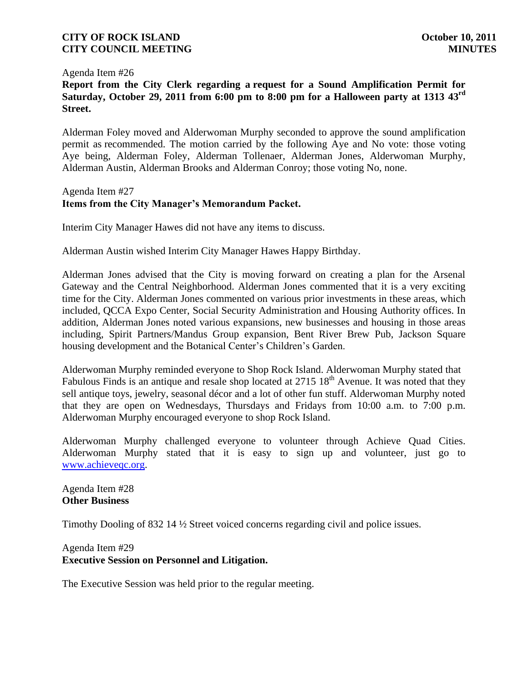Agenda Item #26

**Report from the City Clerk regarding a request for a Sound Amplification Permit for Saturday, October 29, 2011 from 6:00 pm to 8:00 pm for a Halloween party at 1313 43rd Street.**

Alderman Foley moved and Alderwoman Murphy seconded to approve the sound amplification permit as recommended. The motion carried by the following Aye and No vote: those voting Aye being, Alderman Foley, Alderman Tollenaer, Alderman Jones, Alderwoman Murphy, Alderman Austin, Alderman Brooks and Alderman Conroy; those voting No, none.

#### Agenda Item #27 **Items from the City Manager's Memorandum Packet.**

Interim City Manager Hawes did not have any items to discuss.

Alderman Austin wished Interim City Manager Hawes Happy Birthday.

Alderman Jones advised that the City is moving forward on creating a plan for the Arsenal Gateway and the Central Neighborhood. Alderman Jones commented that it is a very exciting time for the City. Alderman Jones commented on various prior investments in these areas, which included, QCCA Expo Center, Social Security Administration and Housing Authority offices. In addition, Alderman Jones noted various expansions, new businesses and housing in those areas including, Spirit Partners/Mandus Group expansion, Bent River Brew Pub, Jackson Square housing development and the Botanical Center's Children's Garden.

Alderwoman Murphy reminded everyone to Shop Rock Island. Alderwoman Murphy stated that Fabulous Finds is an antique and resale shop located at  $2715 \times 18^{th}$  Avenue. It was noted that they sell antique toys, jewelry, seasonal décor and a lot of other fun stuff. Alderwoman Murphy noted that they are open on Wednesdays, Thursdays and Fridays from 10:00 a.m. to 7:00 p.m. Alderwoman Murphy encouraged everyone to shop Rock Island.

Alderwoman Murphy challenged everyone to volunteer through Achieve Quad Cities. Alderwoman Murphy stated that it is easy to sign up and volunteer, just go to [www.achieveqc.org.](http://www.achieveqc.org/)

Agenda Item #28 **Other Business**

Timothy Dooling of 832 14 ½ Street voiced concerns regarding civil and police issues.

#### Agenda Item #29 **Executive Session on Personnel and Litigation.**

The Executive Session was held prior to the regular meeting.